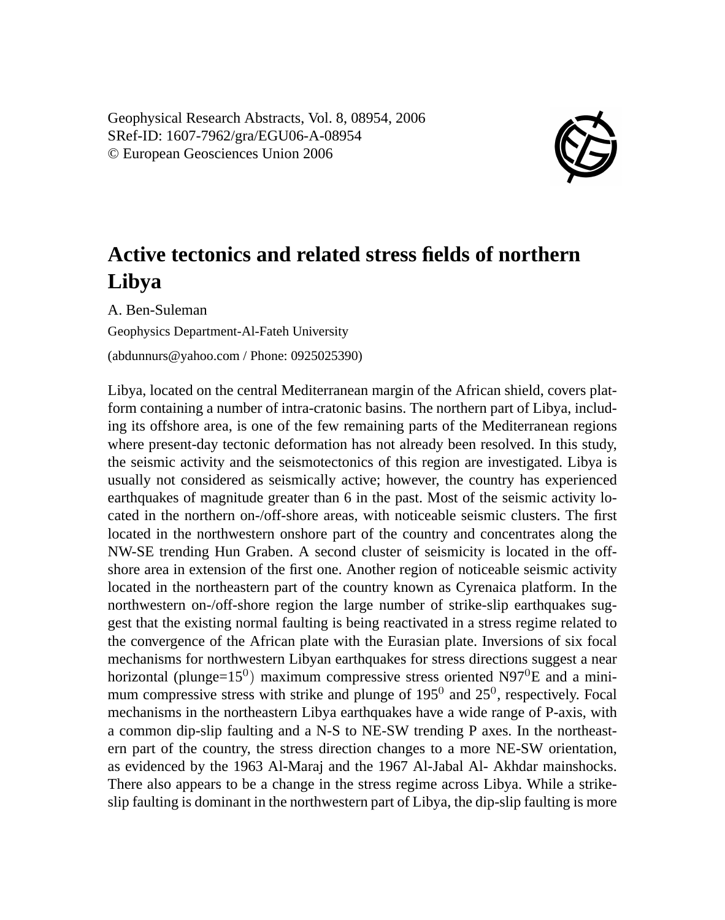Geophysical Research Abstracts, Vol. 8, 08954, 2006 SRef-ID: 1607-7962/gra/EGU06-A-08954 © European Geosciences Union 2006



## **Active tectonics and related stress fields of northern Libya**

A. Ben-Suleman Geophysics Department-Al-Fateh University

(abdunnurs@yahoo.com / Phone: 0925025390)

Libya, located on the central Mediterranean margin of the African shield, covers platform containing a number of intra-cratonic basins. The northern part of Libya, including its offshore area, is one of the few remaining parts of the Mediterranean regions where present-day tectonic deformation has not already been resolved. In this study, the seismic activity and the seismotectonics of this region are investigated. Libya is usually not considered as seismically active; however, the country has experienced earthquakes of magnitude greater than 6 in the past. Most of the seismic activity located in the northern on-/off-shore areas, with noticeable seismic clusters. The first located in the northwestern onshore part of the country and concentrates along the NW-SE trending Hun Graben. A second cluster of seismicity is located in the offshore area in extension of the first one. Another region of noticeable seismic activity located in the northeastern part of the country known as Cyrenaica platform. In the northwestern on-/off-shore region the large number of strike-slip earthquakes suggest that the existing normal faulting is being reactivated in a stress regime related to the convergence of the African plate with the Eurasian plate. Inversions of six focal mechanisms for northwestern Libyan earthquakes for stress directions suggest a near horizontal (plunge= $15^0$ ) maximum compressive stress oriented N97<sup>0</sup>E and a minimum compressive stress with strike and plunge of  $195^0$  and  $25^0$ , respectively. Focal mechanisms in the northeastern Libya earthquakes have a wide range of P-axis, with a common dip-slip faulting and a N-S to NE-SW trending P axes. In the northeastern part of the country, the stress direction changes to a more NE-SW orientation, as evidenced by the 1963 Al-Maraj and the 1967 Al-Jabal Al- Akhdar mainshocks. There also appears to be a change in the stress regime across Libya. While a strikeslip faulting is dominant in the northwestern part of Libya, the dip-slip faulting is more